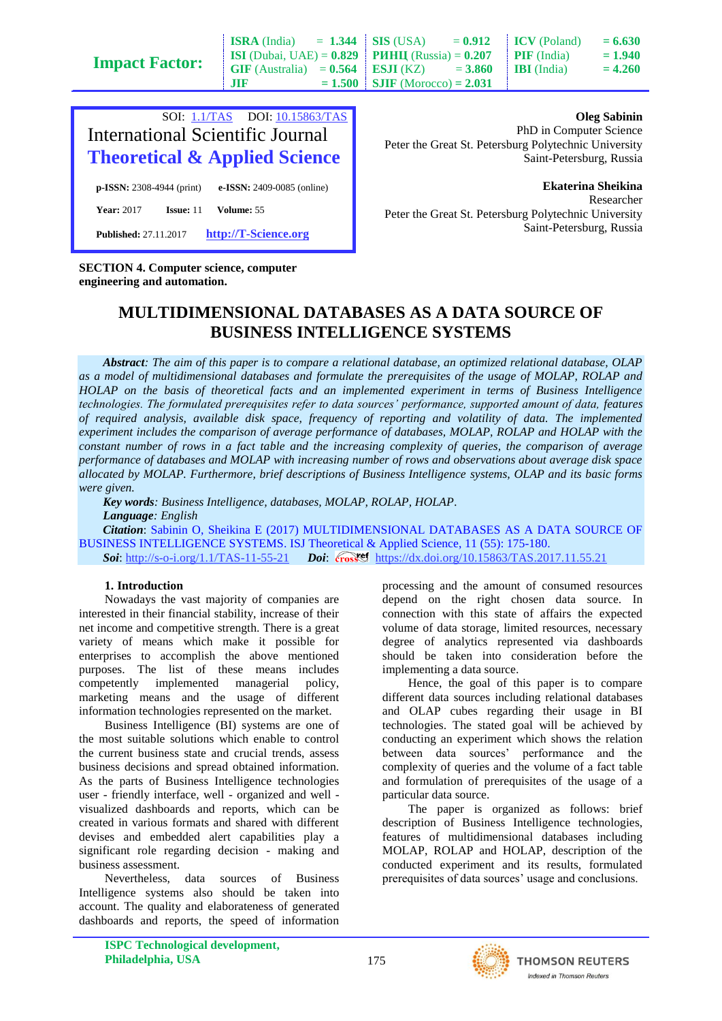**Impact F** 

| <b>Factor:</b> |            | <b>ISRA</b> (India) = 1.344   SIS (USA) = $0.912$   ICV (Poland)                         | $= 6.630$ |
|----------------|------------|------------------------------------------------------------------------------------------|-----------|
|                |            | <b>ISI</b> (Dubai, UAE) = $0.829$   <b>PHHII</b> (Russia) = $0.207$   <b>PIF</b> (India) | $= 1.940$ |
|                |            | GIF (Australia) = $0.564$ ESJI (KZ) = 3.860 IBI (India)                                  | $= 4.260$ |
|                | <b>JIR</b> | $= 1.500$ SJIF (Morocco) = 2.031                                                         |           |

|                              |                  |            | SOI: 1.1/TAS DOI: 10.15863/TAS<br><b>International Scientific Journal</b><br><b>Theoretical &amp; Applied Science</b> |
|------------------------------|------------------|------------|-----------------------------------------------------------------------------------------------------------------------|
| $p$ -ISSN: 2308-4944 (print) |                  |            | e-ISSN: 2409-0085 (online)                                                                                            |
| <b>Year: 2017</b>            | <b>Issue:</b> 11 | Volume: 55 |                                                                                                                       |
| <b>Published: 27.11.2017</b> |                  |            | http://T-Science.org                                                                                                  |

**Oleg Sabinin**

PhD in Computer Science Peter the Great St. Petersburg Polytechnic University Saint-Petersburg, Russia

**Ekaterina Sheikina** Researcher Peter the Great St. Petersburg Polytechnic University Saint-Petersburg, Russia

### **SECTION 4. Computer science, computer engineering and automation.**

# **MULTIDIMENSIONAL DATABASES AS A DATA SOURCE OF BUSINESS INTELLIGENCE SYSTEMS**

*Abstract: The aim of this paper is to compare a relational database, an optimized relational database, OLAP as a model of multidimensional databases and formulate the prerequisites of the usage of MOLAP, ROLAP and HOLAP on the basis of theoretical facts and an implemented experiment in terms of Business Intelligence technologies. The formulated prerequisites refer to data sources' performance, supported amount of data, features of required analysis, available disk space, frequency of reporting and volatility of data. The implemented experiment includes the comparison of average performance of databases, MOLAP, ROLAP and HOLAP with the constant number of rows in a fact table and the increasing complexity of queries, the comparison of average performance of databases and MOLAP with increasing number of rows and observations about average disk space allocated by MOLAP. Furthermore, brief descriptions of Business Intelligence systems, OLAP and its basic forms were given.*

*Key words: Business Intelligence, databases, MOLAP, ROLAP, HOLAP.*

*Language: English*

*Citation*: Sabinin O, Sheikina E (2017) MULTIDIMENSIONAL DATABASES AS A DATA SOURCE OF BUSINESS INTELLIGENCE SYSTEMS. ISJ Theoretical & Applied Science, 11 (55): 175-180. **Soi**[: http://s-o-i.org/1.1/TAS-11-55-21](http://s-o-i.org/1.1/TAS-11-55-21) *Doi: crossenters://dx.doi.org/10.15863/TAS.2017.11.55.21* 

## **1. Introduction**

Nowadays the vast majority of companies are interested in their financial stability, increase of their net income and competitive strength. There is a great variety of means which make it possible for enterprises to accomplish the above mentioned purposes. The list of these means includes competently implemented managerial policy, marketing means and the usage of different information technologies represented on the market.

Business Intelligence (BI) systems are one of the most suitable solutions which enable to control the current business state and crucial trends, assess business decisions and spread obtained information. As the parts of Business Intelligence technologies user - friendly interface, well - organized and well visualized dashboards and reports, which can be created in various formats and shared with different devises and embedded alert capabilities play a significant role regarding decision - making and business assessment.

Nevertheless, data sources of Business Intelligence systems also should be taken into account. The quality and elaborateness of generated dashboards and reports, the speed of information processing and the amount of consumed resources depend on the right chosen data source. In connection with this state of affairs the expected volume of data storage, limited resources, necessary degree of analytics represented via dashboards should be taken into consideration before the implementing a data source.

Hence, the goal of this paper is to compare different data sources including relational databases and OLAP cubes regarding their usage in BI technologies. The stated goal will be achieved by conducting an experiment which shows the relation between data sources' performance and the complexity of queries and the volume of a fact table and formulation of prerequisites of the usage of a particular data source.

The paper is organized as follows: brief description of Business Intelligence technologies, features of multidimensional databases including MOLAP, ROLAP and HOLAP, description of the conducted experiment and its results, formulated prerequisites of data sources' usage and conclusions.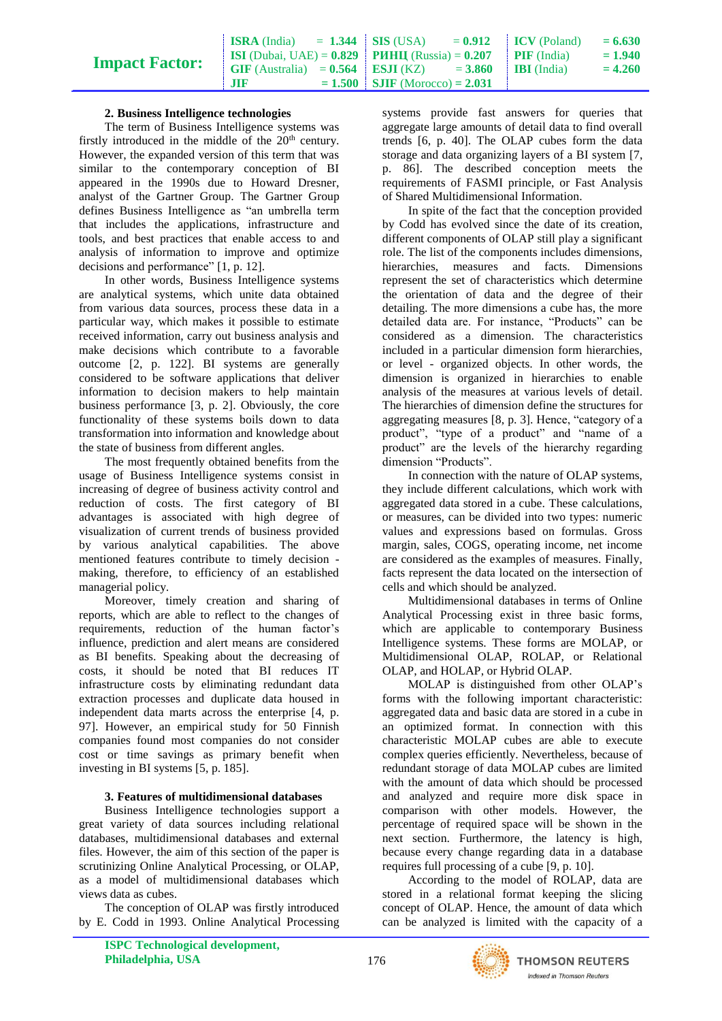# **Impact Factor:**

| <b>ISRA</b> (India) = 1.344   SIS (USA) = $0.912$   ICV (Poland)                     |                                  |  | $= 6.630$ |
|--------------------------------------------------------------------------------------|----------------------------------|--|-----------|
| <b>ISI</b> (Dubai, UAE) = $0.829$ <b>PHHII</b> (Russia) = $0.207$ <b>PIF</b> (India) |                                  |  | $= 1.940$ |
| GIF (Australia) = $0.564$   ESJI (KZ) = $3.860$   IBI (India)                        |                                  |  | $= 4.260$ |
| <b>JIF</b>                                                                           | $= 1.500$ SJIF (Morocco) = 2.031 |  |           |

## **2. Business Intelligence technologies**

The term of Business Intelligence systems was firstly introduced in the middle of the  $20<sup>th</sup>$  century. However, the expanded version of this term that was similar to the contemporary conception of BI appeared in the 1990s due to Howard Dresner, analyst of the Gartner Group. The Gartner Group defines Business Intelligence as "an umbrella term that includes the applications, infrastructure and tools, and best practices that enable access to and analysis of information to improve and optimize decisions and performance" [1, p. 12].

In other words, Business Intelligence systems are analytical systems, which unite data obtained from various data sources, process these data in a particular way, which makes it possible to estimate received information, carry out business analysis and make decisions which contribute to a favorable outcome [2, p. 122]. BI systems are generally considered to be software applications that deliver information to decision makers to help maintain business performance [3, p. 2]. Obviously, the core functionality of these systems boils down to data transformation into information and knowledge about the state of business from different angles.

The most frequently obtained benefits from the usage of Business Intelligence systems consist in increasing of degree of business activity control and reduction of costs. The first category of BI advantages is associated with high degree of visualization of current trends of business provided by various analytical capabilities. The above mentioned features contribute to timely decision making, therefore, to efficiency of an established managerial policy.

Moreover, timely creation and sharing of reports, which are able to reflect to the changes of requirements, reduction of the human factor's influence, prediction and alert means are considered as BI benefits. Speaking about the decreasing of costs, it should be noted that BI reduces IT infrastructure costs by eliminating redundant data extraction processes and duplicate data housed in independent data marts across the enterprise [4, p. 97]. However, an empirical study for 50 Finnish companies found most companies do not consider cost or time savings as primary benefit when investing in BI systems [5, p. 185].

### **3. Features of multidimensional databases**

Business Intelligence technologies support a great variety of data sources including relational databases, multidimensional databases and external files. However, the aim of this section of the paper is scrutinizing Online Analytical Processing, or OLAP, as a model of multidimensional databases which views data as cubes.

The conception of OLAP was firstly introduced by E. Codd in 1993. Online Analytical Processing

systems provide fast answers for queries that aggregate large amounts of detail data to find overall trends [6, p. 40]. The OLAP cubes form the data storage and data organizing layers of a BI system [7, p. 86]. The described conception meets the requirements of FASMI principle, or Fast Analysis of Shared Multidimensional Information.

In spite of the fact that the conception provided by Codd has evolved since the date of its creation, different components of OLAP still play a significant role. The list of the components includes dimensions, hierarchies, measures and facts. Dimensions represent the set of characteristics which determine the orientation of data and the degree of their detailing. The more dimensions a cube has, the more detailed data are. For instance, "Products" can be considered as a dimension. The characteristics included in a particular dimension form hierarchies, or level - organized objects. In other words, the dimension is organized in hierarchies to enable analysis of the measures at various levels of detail. The hierarchies of dimension define the structures for aggregating measures [8, p. 3]. Hence, "category of a product", "type of a product" and "name of a product" are the levels of the hierarchy regarding dimension "Products".

In connection with the nature of OLAP systems, they include different calculations, which work with aggregated data stored in a cube. These calculations, or measures, can be divided into two types: numeric values and expressions based on formulas. Gross margin, sales, COGS, operating income, net income are considered as the examples of measures. Finally, facts represent the data located on the intersection of cells and which should be analyzed.

Multidimensional databases in terms of Online Analytical Processing exist in three basic forms, which are applicable to contemporary Business Intelligence systems. These forms are MOLAP, or Multidimensional OLAP, ROLAP, or Relational OLAP, and HOLAP, or Hybrid OLAP.

MOLAP is distinguished from other OLAP's forms with the following important characteristic: aggregated data and basic data are stored in a cube in an optimized format. In connection with this characteristic MOLAP cubes are able to execute complex queries efficiently. Nevertheless, because of redundant storage of data MOLAP cubes are limited with the amount of data which should be processed and analyzed and require more disk space in comparison with other models. However, the percentage of required space will be shown in the next section. Furthermore, the latency is high, because every change regarding data in a database requires full processing of a cube [9, p. 10].

According to the model of ROLAP, data are stored in a relational format keeping the slicing concept of OLAP. Hence, the amount of data which can be analyzed is limited with the capacity of a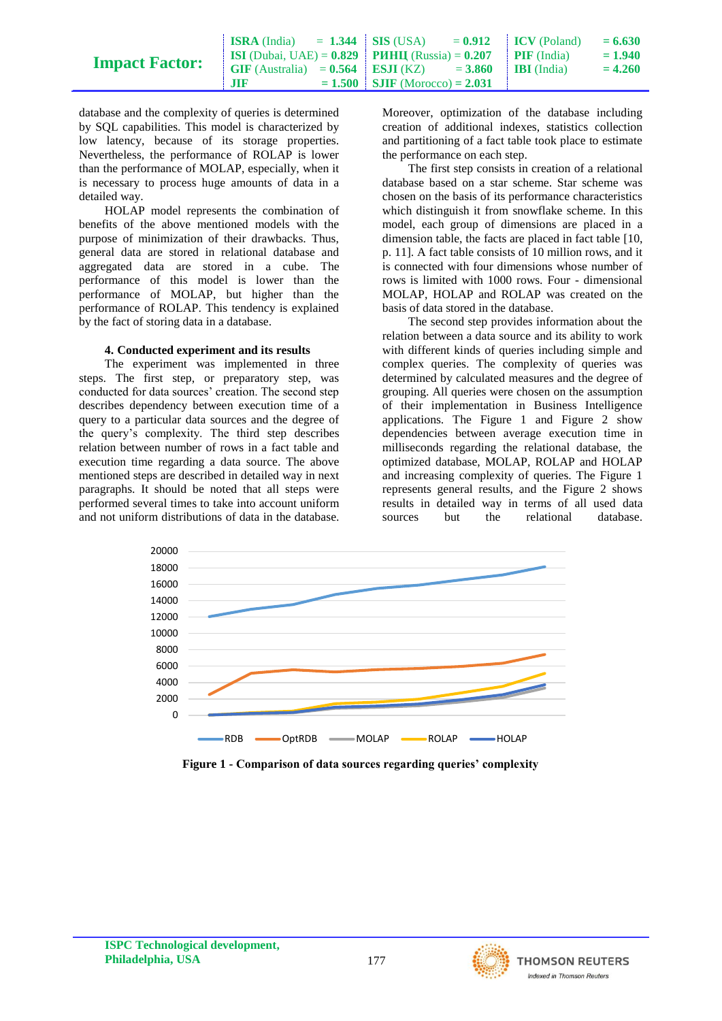| <b>Impact Factor:</b> |                                                                                      | <b>ISRA</b> (India) = 1.344   SIS (USA) = $0.912$   ICV (Poland) | $= 6.630$ |
|-----------------------|--------------------------------------------------------------------------------------|------------------------------------------------------------------|-----------|
|                       | <b>ISI</b> (Dubai, UAE) = $0.829$ <b>PMHII</b> (Russia) = $0.207$ <b>PIF</b> (India) |                                                                  | $= 1.940$ |
|                       | $\text{GIF (Australia)} = 0.564$ $\text{ESJI (KZ)} = 3.860$ IBI (India)              |                                                                  | $= 4.260$ |
|                       | -3118                                                                                | $= 1.500$ SJIF (Morocco) = 2.031                                 |           |

database and the complexity of queries is determined by SQL capabilities. This model is characterized by low latency, because of its storage properties. Nevertheless, the performance of ROLAP is lower than the performance of MOLAP, especially, when it is necessary to process huge amounts of data in a detailed way.

HOLAP model represents the combination of benefits of the above mentioned models with the purpose of minimization of their drawbacks. Thus, general data are stored in relational database and aggregated data are stored in a cube. The performance of this model is lower than the performance of MOLAP, but higher than the performance of ROLAP. This tendency is explained by the fact of storing data in a database.

#### **4. Conducted experiment and its results**

The experiment was implemented in three steps. The first step, or preparatory step, was conducted for data sources' creation. The second step describes dependency between execution time of a query to a particular data sources and the degree of the query's complexity. The third step describes relation between number of rows in a fact table and execution time regarding a data source. The above mentioned steps are described in detailed way in next paragraphs. It should be noted that all steps were performed several times to take into account uniform and not uniform distributions of data in the database.

Moreover, optimization of the database including creation of additional indexes, statistics collection and partitioning of a fact table took place to estimate the performance on each step.

The first step consists in creation of a relational database based on a star scheme. Star scheme was chosen on the basis of its performance characteristics which distinguish it from snowflake scheme. In this model, each group of dimensions are placed in a dimension table, the facts are placed in fact table [10, p. 11]. A fact table consists of 10 million rows, and it is connected with four dimensions whose number of rows is limited with 1000 rows. Four - dimensional MOLAP, HOLAP and ROLAP was created on the basis of data stored in the database.

The second step provides information about the relation between a data source and its ability to work with different kinds of queries including simple and complex queries. The complexity of queries was determined by calculated measures and the degree of grouping. All queries were chosen on the assumption of their implementation in Business Intelligence applications. The Figure 1 and Figure 2 show dependencies between average execution time in milliseconds regarding the relational database, the optimized database, MOLAP, ROLAP and HOLAP and increasing complexity of queries. The Figure 1 represents general results, and the Figure 2 shows results in detailed way in terms of all used data sources but the relational database.



**Figure 1 - Comparison of data sources regarding queries' complexity**

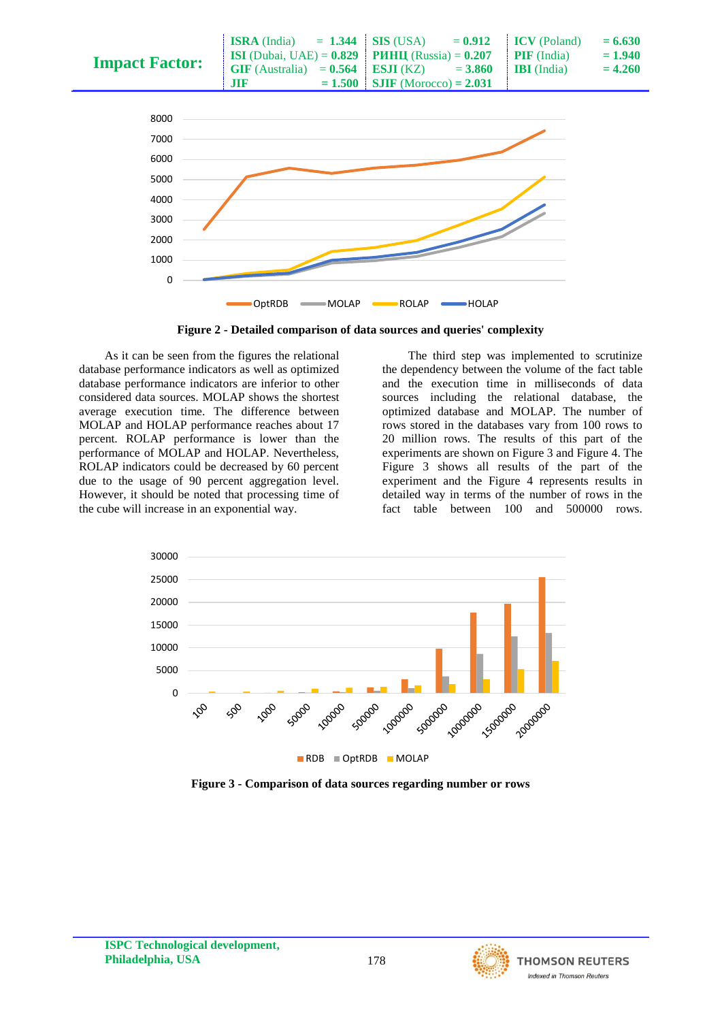

**Figure 2 - Detailed comparison of data sources and queries' complexity**

As it can be seen from the figures the relational database performance indicators as well as optimized database performance indicators are inferior to other considered data sources. MOLAP shows the shortest average execution time. The difference between MOLAP and HOLAP performance reaches about 17 percent. ROLAP performance is lower than the performance of MOLAP and HOLAP. Nevertheless, ROLAP indicators could be decreased by 60 percent due to the usage of 90 percent aggregation level. However, it should be noted that processing time of the cube will increase in an exponential way.

The third step was implemented to scrutinize the dependency between the volume of the fact table and the execution time in milliseconds of data sources including the relational database, the optimized database and MOLAP. The number of rows stored in the databases vary from 100 rows to 20 million rows. The results of this part of the experiments are shown on Figure 3 and Figure 4. The Figure 3 shows all results of the part of the experiment and the Figure 4 represents results in detailed way in terms of the number of rows in the fact table between 100 and 500000 rows.



**Figure 3 - Comparison of data sources regarding number or rows**

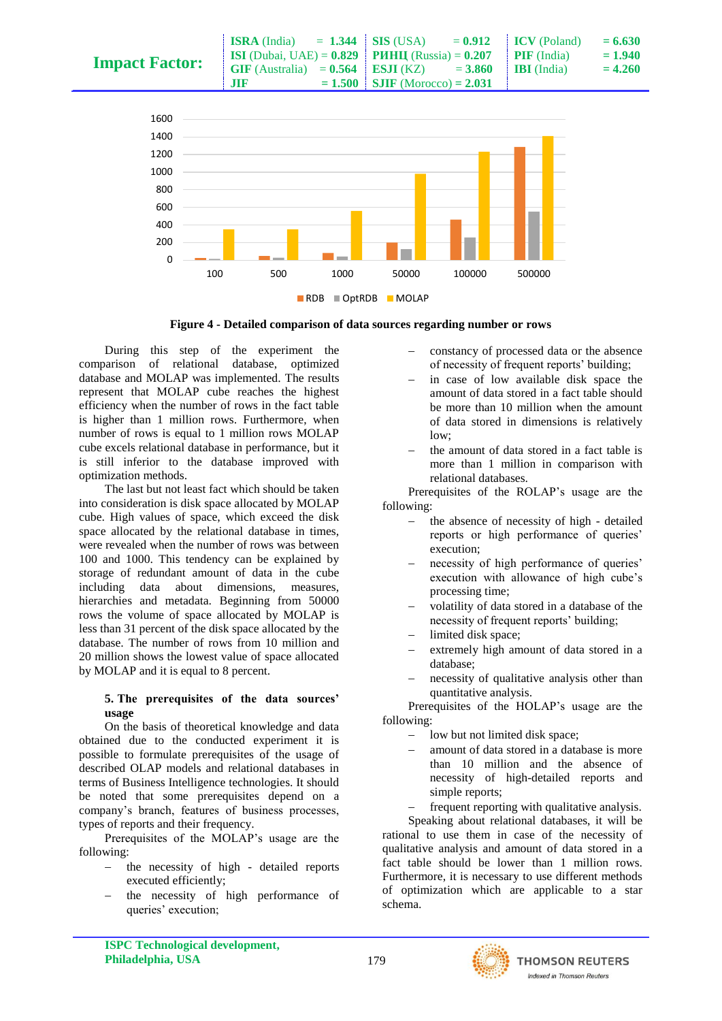| <b>Impact Factor:</b> | $\text{ISRA} \text{ (India)} = 1.344 \text{ } \text{SIS} \text{ (USA)}$              |                                  | $= 0.912$ ICV (Poland)  | $= 6.630$ |
|-----------------------|--------------------------------------------------------------------------------------|----------------------------------|-------------------------|-----------|
|                       | <b>ISI</b> (Dubai, UAE) = $0.829$ <b>PHHII</b> (Russia) = $0.207$ <b>PIF</b> (India) |                                  |                         | $= 1.940$ |
|                       | <b>GIF</b> (Australia) = $0.564$ <b>ESJI</b> (KZ) = $3.860$                          |                                  | $\parallel$ IBI (India) | $= 4.260$ |
|                       | $\overline{111}$                                                                     | $= 1.500$ SJIF (Morocco) = 2.031 |                         |           |



**Figure 4 - Detailed comparison of data sources regarding number or rows**

During this step of the experiment the comparison of relational database, optimized database and MOLAP was implemented. The results represent that MOLAP cube reaches the highest efficiency when the number of rows in the fact table is higher than 1 million rows. Furthermore, when number of rows is equal to 1 million rows MOLAP cube excels relational database in performance, but it is still inferior to the database improved with optimization methods.

The last but not least fact which should be taken into consideration is disk space allocated by MOLAP cube. High values of space, which exceed the disk space allocated by the relational database in times, were revealed when the number of rows was between 100 and 1000. This tendency can be explained by storage of redundant amount of data in the cube including data about dimensions, measures, hierarchies and metadata. Beginning from 50000 rows the volume of space allocated by MOLAP is less than 31 percent of the disk space allocated by the database. The number of rows from 10 million and 20 million shows the lowest value of space allocated by MOLAP and it is equal to 8 percent.

#### **5. The prerequisites of the data sources' usage**

On the basis of theoretical knowledge and data obtained due to the conducted experiment it is possible to formulate prerequisites of the usage of described OLAP models and relational databases in terms of Business Intelligence technologies. It should be noted that some prerequisites depend on a company's branch, features of business processes, types of reports and their frequency.

Prerequisites of the MOLAP's usage are the following:

- the necessity of high detailed reports executed efficiently;
- the necessity of high performance of queries' execution;
- constancy of processed data or the absence of necessity of frequent reports' building;
- in case of low available disk space the amount of data stored in a fact table should be more than 10 million when the amount of data stored in dimensions is relatively  $low$ :
- the amount of data stored in a fact table is more than 1 million in comparison with relational databases.

Prerequisites of the ROLAP's usage are the following:

- the absence of necessity of high detailed reports or high performance of queries' execution;
- necessity of high performance of queries' execution with allowance of high cube's processing time;
- volatility of data stored in a database of the necessity of frequent reports' building;
- limited disk space;
- extremely high amount of data stored in a database;
- necessity of qualitative analysis other than quantitative analysis.

Prerequisites of the HOLAP's usage are the following:

- low but not limited disk space;
- amount of data stored in a database is more than 10 million and the absence of necessity of high-detailed reports and simple reports;
- frequent reporting with qualitative analysis.

Speaking about relational databases, it will be rational to use them in case of the necessity of qualitative analysis and amount of data stored in a fact table should be lower than 1 million rows. Furthermore, it is necessary to use different methods of optimization which are applicable to a star schema.